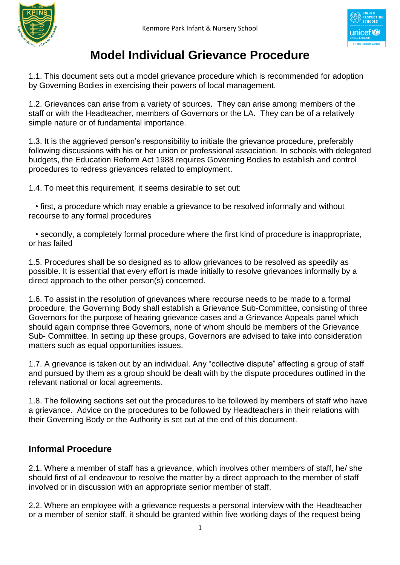

# **Model Individual Grievance Procedure**

1.1. This document sets out a model grievance procedure which is recommended for adoption by Governing Bodies in exercising their powers of local management.

1.2. Grievances can arise from a variety of sources. They can arise among members of the staff or with the Headteacher, members of Governors or the LA. They can be of a relatively simple nature or of fundamental importance.

1.3. It is the aggrieved person's responsibility to initiate the grievance procedure, preferably following discussions with his or her union or professional association. In schools with delegated budgets, the Education Reform Act 1988 requires Governing Bodies to establish and control procedures to redress grievances related to employment.

1.4. To meet this requirement, it seems desirable to set out:

 • first, a procedure which may enable a grievance to be resolved informally and without recourse to any formal procedures

 • secondly, a completely formal procedure where the first kind of procedure is inappropriate, or has failed

1.5. Procedures shall be so designed as to allow grievances to be resolved as speedily as possible. It is essential that every effort is made initially to resolve grievances informally by a direct approach to the other person(s) concerned.

1.6. To assist in the resolution of grievances where recourse needs to be made to a formal procedure, the Governing Body shall establish a Grievance Sub-Committee, consisting of three Governors for the purpose of hearing grievance cases and a Grievance Appeals panel which should again comprise three Governors, none of whom should be members of the Grievance Sub- Committee. In setting up these groups, Governors are advised to take into consideration matters such as equal opportunities issues.

1.7. A grievance is taken out by an individual. Any "collective dispute" affecting a group of staff and pursued by them as a group should be dealt with by the dispute procedures outlined in the relevant national or local agreements.

1.8. The following sections set out the procedures to be followed by members of staff who have a grievance. Advice on the procedures to be followed by Headteachers in their relations with their Governing Body or the Authority is set out at the end of this document.

### **Informal Procedure**

2.1. Where a member of staff has a grievance, which involves other members of staff, he/ she should first of all endeavour to resolve the matter by a direct approach to the member of staff involved or in discussion with an appropriate senior member of staff.

2.2. Where an employee with a grievance requests a personal interview with the Headteacher or a member of senior staff, it should be granted within five working days of the request being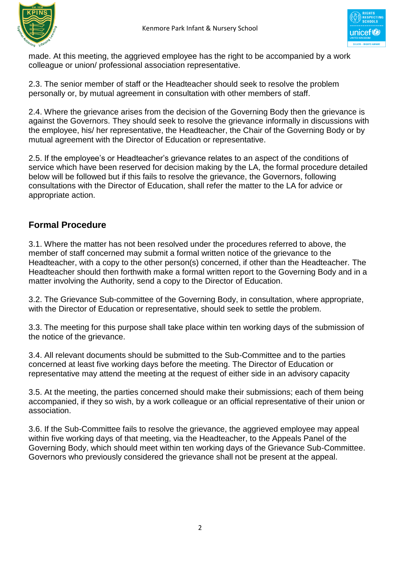



made. At this meeting, the aggrieved employee has the right to be accompanied by a work colleague or union/ professional association representative.

2.3. The senior member of staff or the Headteacher should seek to resolve the problem personally or, by mutual agreement in consultation with other members of staff.

2.4. Where the grievance arises from the decision of the Governing Body then the grievance is against the Governors. They should seek to resolve the grievance informally in discussions with the employee, his/ her representative, the Headteacher, the Chair of the Governing Body or by mutual agreement with the Director of Education or representative.

2.5. If the employee's or Headteacher's grievance relates to an aspect of the conditions of service which have been reserved for decision making by the LA, the formal procedure detailed below will be followed but if this fails to resolve the grievance, the Governors, following consultations with the Director of Education, shall refer the matter to the LA for advice or appropriate action.

## **Formal Procedure**

3.1. Where the matter has not been resolved under the procedures referred to above, the member of staff concerned may submit a formal written notice of the grievance to the Headteacher, with a copy to the other person(s) concerned, if other than the Headteacher. The Headteacher should then forthwith make a formal written report to the Governing Body and in a matter involving the Authority, send a copy to the Director of Education.

3.2. The Grievance Sub-committee of the Governing Body, in consultation, where appropriate, with the Director of Education or representative, should seek to settle the problem.

3.3. The meeting for this purpose shall take place within ten working days of the submission of the notice of the grievance.

3.4. All relevant documents should be submitted to the Sub-Committee and to the parties concerned at least five working days before the meeting. The Director of Education or representative may attend the meeting at the request of either side in an advisory capacity

3.5. At the meeting, the parties concerned should make their submissions; each of them being accompanied, if they so wish, by a work colleague or an official representative of their union or association.

3.6. If the Sub-Committee fails to resolve the grievance, the aggrieved employee may appeal within five working days of that meeting, via the Headteacher, to the Appeals Panel of the Governing Body, which should meet within ten working days of the Grievance Sub-Committee. Governors who previously considered the grievance shall not be present at the appeal.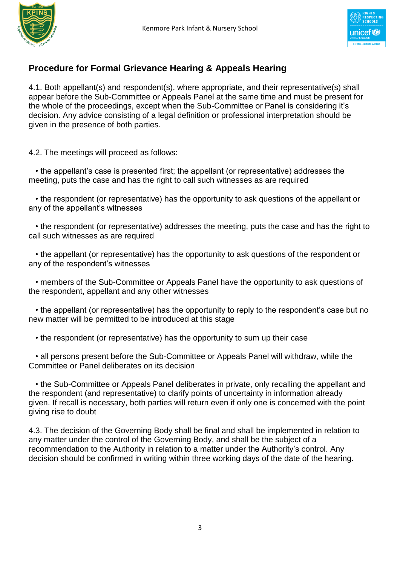

### **Procedure for Formal Grievance Hearing & Appeals Hearing**

4.1. Both appellant(s) and respondent(s), where appropriate, and their representative(s) shall appear before the Sub-Committee or Appeals Panel at the same time and must be present for the whole of the proceedings, except when the Sub-Committee or Panel is considering it's decision. Any advice consisting of a legal definition or professional interpretation should be given in the presence of both parties.

4.2. The meetings will proceed as follows:

 • the appellant's case is presented first; the appellant (or representative) addresses the meeting, puts the case and has the right to call such witnesses as are required

 • the respondent (or representative) has the opportunity to ask questions of the appellant or any of the appellant's witnesses

 • the respondent (or representative) addresses the meeting, puts the case and has the right to call such witnesses as are required

 • the appellant (or representative) has the opportunity to ask questions of the respondent or any of the respondent's witnesses

 • members of the Sub-Committee or Appeals Panel have the opportunity to ask questions of the respondent, appellant and any other witnesses

 • the appellant (or representative) has the opportunity to reply to the respondent's case but no new matter will be permitted to be introduced at this stage

• the respondent (or representative) has the opportunity to sum up their case

 • all persons present before the Sub-Committee or Appeals Panel will withdraw, while the Committee or Panel deliberates on its decision

 • the Sub-Committee or Appeals Panel deliberates in private, only recalling the appellant and the respondent (and representative) to clarify points of uncertainty in information already given. If recall is necessary, both parties will return even if only one is concerned with the point giving rise to doubt

4.3. The decision of the Governing Body shall be final and shall be implemented in relation to any matter under the control of the Governing Body, and shall be the subject of a recommendation to the Authority in relation to a matter under the Authority's control. Any decision should be confirmed in writing within three working days of the date of the hearing.